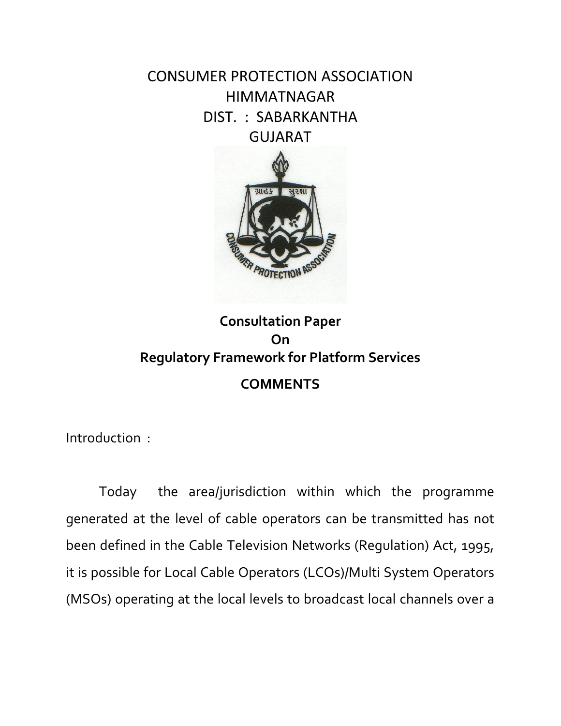CONSUMER PROTECTION ASSOCIATION HIMMATNAGAR DIST. : SABARKANTHA GUJARAT



## **Consultation Paper On Regulatory Framework for Platform Services COMMENTS**

Introduction :

Today the area/jurisdiction within which the programme generated at the level of cable operators can be transmitted has not been defined in the Cable Television Networks (Regulation) Act, 1995, it is possible for Local Cable Operators (LCOs)/Multi System Operators (MSOs) operating at the local levels to broadcast local channels over a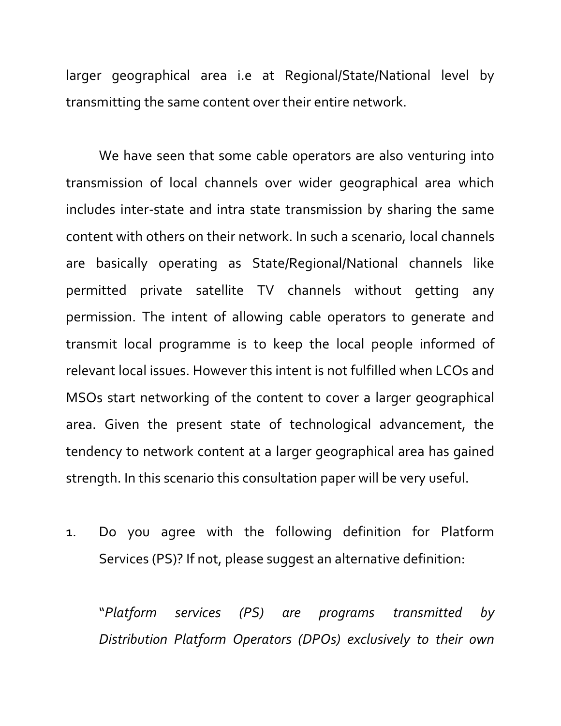larger geographical area i.e at Regional/State/National level by transmitting the same content over their entire network.

We have seen that some cable operators are also venturing into transmission of local channels over wider geographical area which includes inter-state and intra state transmission by sharing the same content with others on their network. In such a scenario, local channels are basically operating as State/Regional/National channels like permitted private satellite TV channels without getting any permission. The intent of allowing cable operators to generate and transmit local programme is to keep the local people informed of relevant local issues. However this intent is not fulfilled when LCOs and MSOs start networking of the content to cover a larger geographical area. Given the present state of technological advancement, the tendency to network content at a larger geographical area has gained strength. In this scenario this consultation paper will be very useful.

1. Do you agree with the following definition for Platform Services (PS)? If not, please suggest an alternative definition:

"*Platform services (PS) are programs transmitted by Distribution Platform Operators (DPOs) exclusively to their own*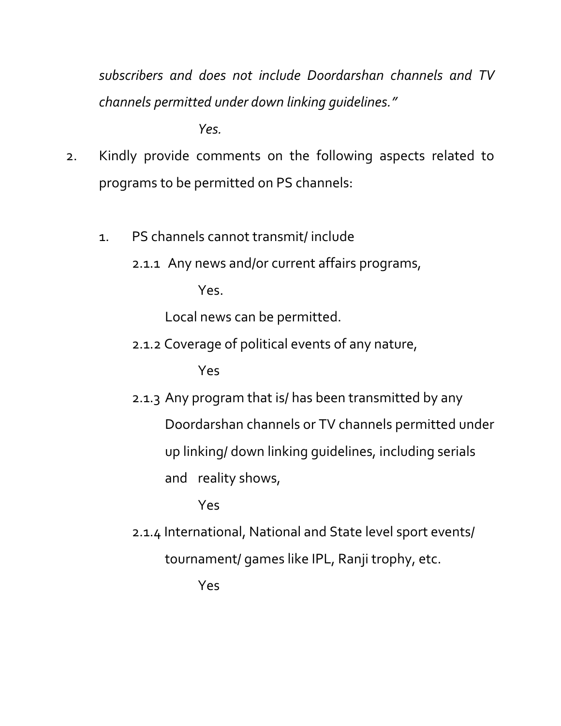*subscribers and does not include Doordarshan channels and TV channels permitted under down linking guidelines."* 

*Yes.*

- 2. Kindly provide comments on the following aspects related to programs to be permitted on PS channels:
	- 1. PS channels cannot transmit/ include
		- 2.1.1 Any news and/or current affairs programs,

Yes.

Local news can be permitted.

2.1.2 Coverage of political events of any nature,

Yes

2.1.3 Any program that is/ has been transmitted by any Doordarshan channels or TV channels permitted under up linking/ down linking guidelines, including serials and reality shows,

Yes

2.1.4 International, National and State level sport events/ tournament/ games like IPL, Ranji trophy, etc.

Yes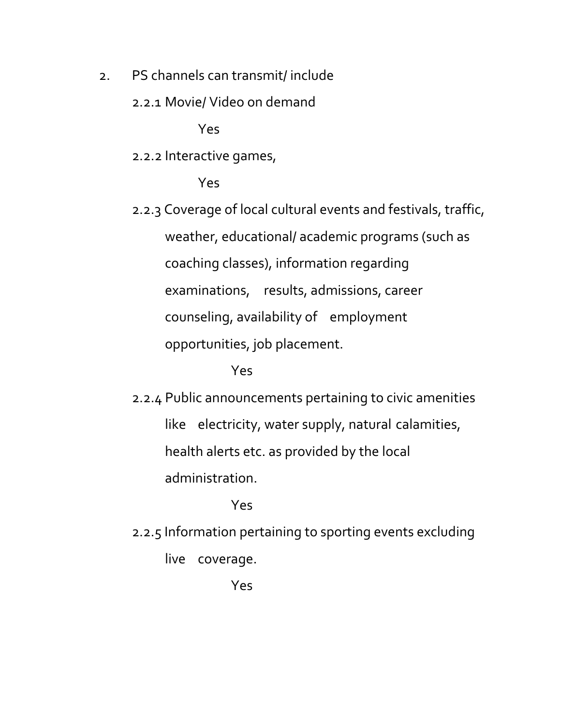- 2. PS channels can transmit/ include
	- 2.2.1 Movie/ Video on demand

Yes

2.2.2 Interactive games,

Yes

2.2.3 Coverage of local cultural events and festivals, traffic, weather, educational/ academic programs (such as coaching classes), information regarding examinations, results, admissions, career counseling, availability of employment opportunities, job placement.

## Yes

2.2.4 Public announcements pertaining to civic amenities like electricity, water supply, natural calamities, health alerts etc. as provided by the local administration.

Yes

2.2.5 Information pertaining to sporting events excluding live coverage.

Yes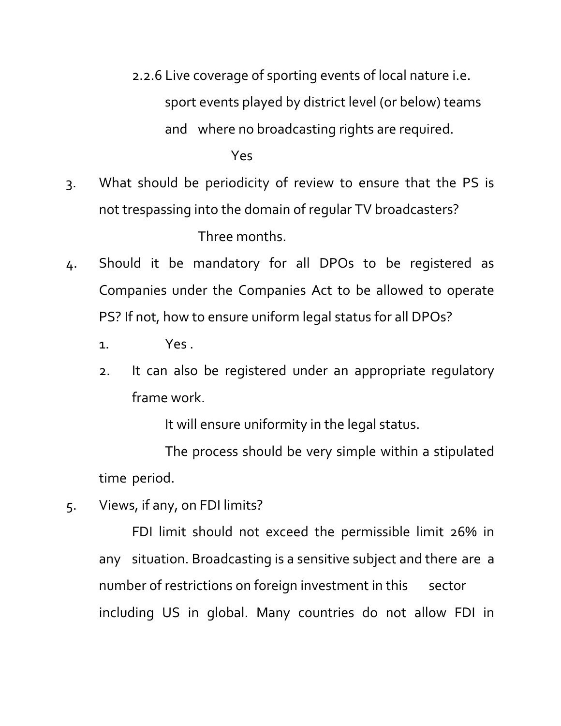- 2.2.6 Live coverage of sporting events of local nature i.e. sport events played by district level (or below) teams and where no broadcasting rights are required. Yes
- 3. What should be periodicity of review to ensure that the PS is not trespassing into the domain of regular TV broadcasters? Three months.
- 4. Should it be mandatory for all DPOs to be registered as Companies under the Companies Act to be allowed to operate PS? If not, how to ensure uniform legal status for all DPOs?
	- 1. Yes .
	- 2. It can also be registered under an appropriate regulatory frame work.

It will ensure uniformity in the legal status.

The process should be very simple within a stipulated time period.

5. Views, if any, on FDI limits?

FDI limit should not exceed the permissible limit 26% in any situation. Broadcasting is a sensitive subject and there are a number of restrictions on foreign investment in this sector including US in global. Many countries do not allow FDI in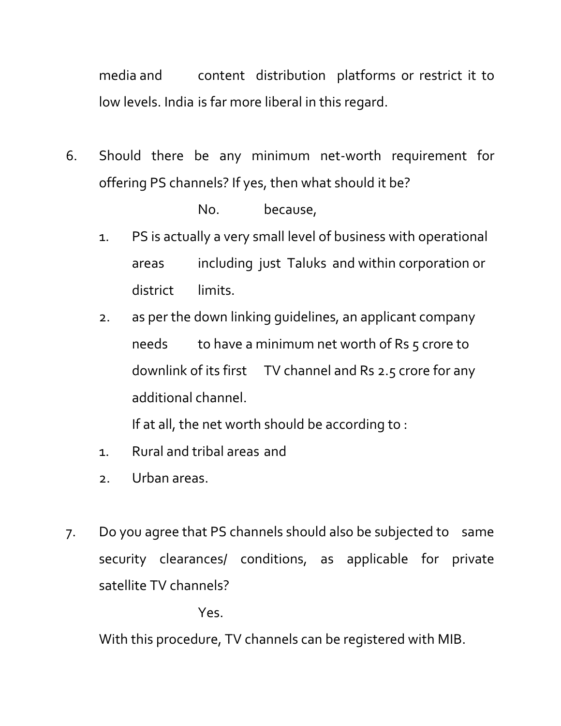media and content distribution platforms or restrict it to low levels. India is far more liberal in this regard.

6. Should there be any minimum net-worth requirement for offering PS channels? If yes, then what should it be?

No. because,

- 1. PS is actually a very small level of business with operational areas including just Taluks and within corporation or district limits.
- 2. as per the down linking guidelines, an applicant company needs to have a minimum net worth of Rs  $5$  crore to downlink of its first TV channel and Rs 2.5 crore for any additional channel.

If at all, the net worth should be according to :

- 1. Rural and tribal areas and
- 2. Urban areas.
- 7. Do you agree that PS channels should also be subjected to same security clearances/ conditions, as applicable for private satellite TV channels?

Yes.

With this procedure, TV channels can be registered with MIB.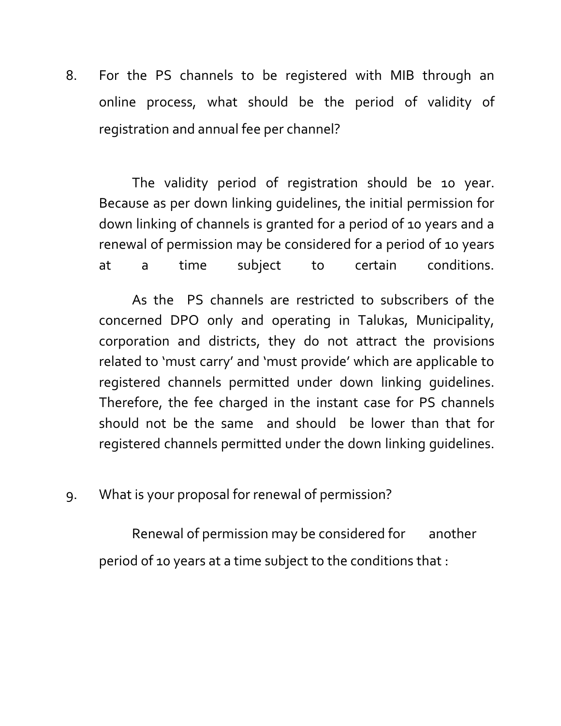8. For the PS channels to be registered with MIB through an online process, what should be the period of validity of registration and annual fee per channel?

The validity period of registration should be 10 year. Because as per down linking guidelines, the initial permission for down linking of channels is granted for a period of 10 years and a renewal of permission may be considered for a period of 10 years at a time subject to certain conditions.

 As the PS channels are restricted to subscribers of the concerned DPO only and operating in Talukas, Municipality, corporation and districts, they do not attract the provisions related to 'must carry' and 'must provide' which are applicable to registered channels permitted under down linking guidelines. Therefore, the fee charged in the instant case for PS channels should not be the same and should be lower than that for registered channels permitted under the down linking guidelines.

9. What is your proposal for renewal of permission?

Renewal of permission may be considered for another period of 10 years at a time subject to the conditions that :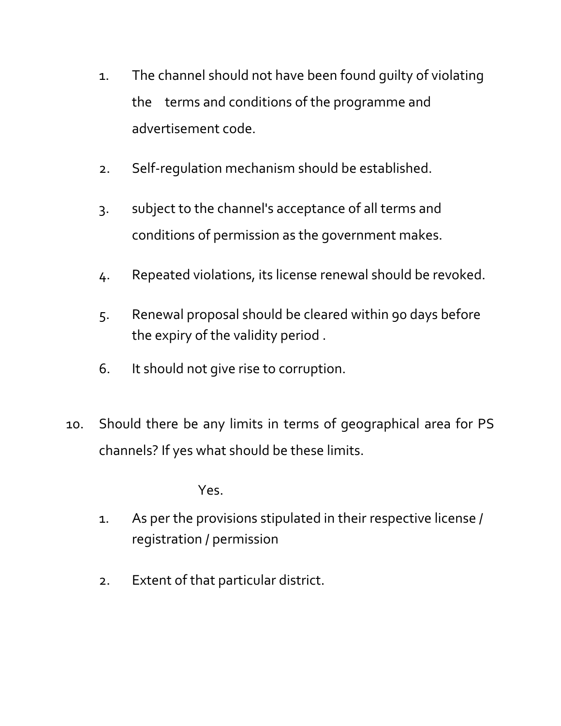- 1. The channel should not have been found guilty of violating the terms and conditions of the programme and advertisement code.
- 2. Self-regulation mechanism should be established.
- 3. subject to the channel's acceptance of all terms and conditions of permission as the government makes.
- 4. Repeated violations, its license renewal should be revoked.
- 5. Renewal proposal should be cleared within 90 days before the expiry of the validity period .
- 6. It should not give rise to corruption.
- 10. Should there be any limits in terms of geographical area for PS channels? If yes what should be these limits.

Yes.

- 1. As per the provisions stipulated in their respective license / registration / permission
- 2. Extent of that particular district.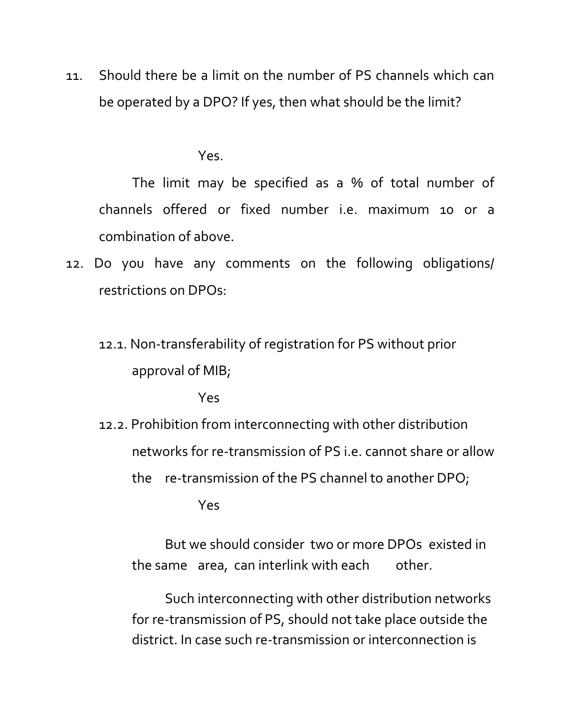11. Should there be a limit on the number of PS channels which can be operated by a DPO? If yes, then what should be the limit?

Yes.

The limit may be specified as a % of total number of channels offered or fixed number i.e. maximum 10 or a combination of above.

- 12. Do you have any comments on the following obligations/ restrictions on DPOs:
	- 12.1. Non-transferability of registration for PS without prior approval of MIB;

Yes

12.2. Prohibition from interconnecting with other distribution networks for re-transmission of PS i.e. cannot share or allow the re-transmission of the PS channel to another DPO;

Yes

But we should consider two or more DPOs existed in the same area, can interlink with each other.

Such interconnecting with other distribution networks for re-transmission of PS, should not take place outside the district. In case such re-transmission or interconnection is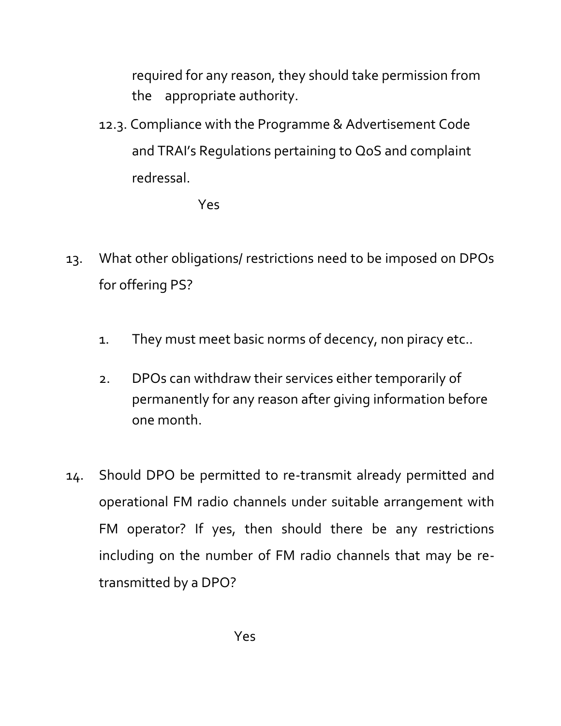required for any reason, they should take permission from the appropriate authority.

12.3. Compliance with the Programme & Advertisement Code and TRAI's Regulations pertaining to QoS and complaint redressal.

Yes

- 13. What other obligations/ restrictions need to be imposed on DPOs for offering PS?
	- 1. They must meet basic norms of decency, non piracy etc..
	- 2. DPOs can withdraw their services either temporarily of permanently for any reason after giving information before one month.
- 14. Should DPO be permitted to re-transmit already permitted and operational FM radio channels under suitable arrangement with FM operator? If yes, then should there be any restrictions including on the number of FM radio channels that may be retransmitted by a DPO?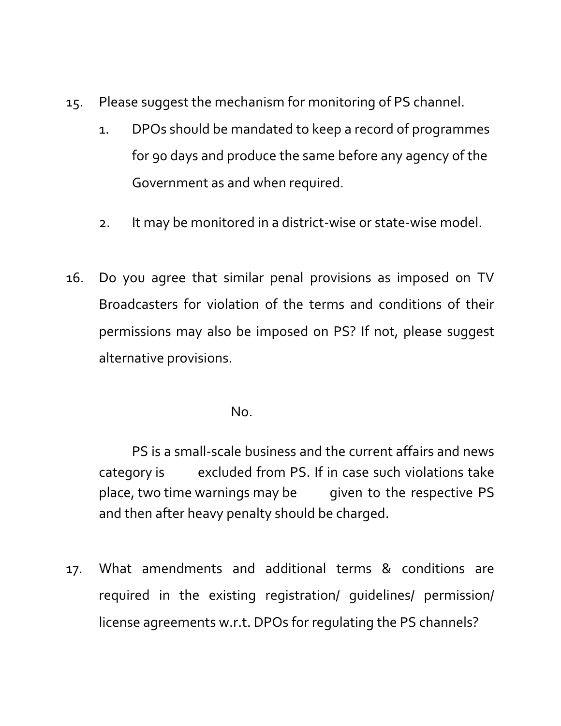- 15. Please suggest the mechanism for monitoring of PS channel.
	- 1. DPOs should be mandated to keep a record of programmes for 90 days and produce the same before any agency of the Government as and when required.
	- 2. It may be monitored in a district-wise or state-wise model.
- 16. Do you agree that similar penal provisions as imposed on TV Broadcasters for violation of the terms and conditions of their permissions may also be imposed on PS? If not, please suggest alternative provisions.

No.

PS is a small-scale business and the current affairs and news category is excluded from PS. If in case such violations take place, two time warnings may be given to the respective PS and then after heavy penalty should be charged.

17. What amendments and additional terms & conditions are required in the existing registration/ guidelines/ permission/ license agreements w.r.t. DPOs for regulating the PS channels?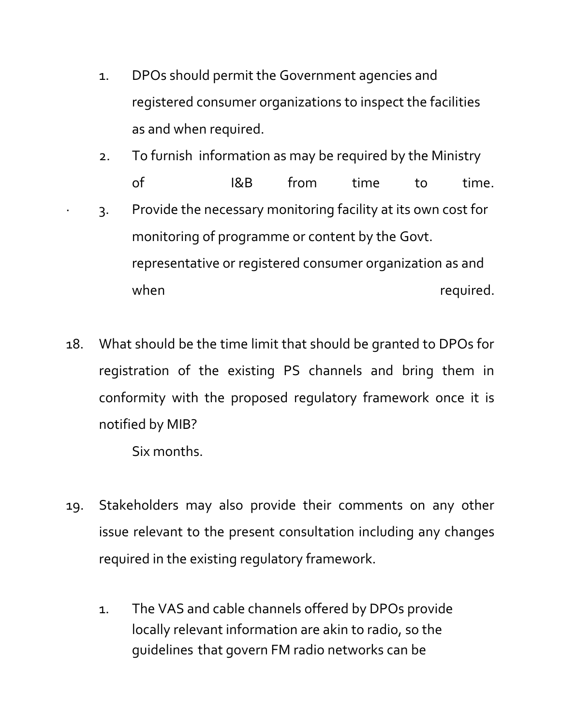- 1. DPOs should permit the Government agencies and registered consumer organizations to inspect the facilities as and when required.
- 2. To furnish information as may be required by the Ministry of I&B from time to time. 3. Provide the necessary monitoring facility at its own cost for monitoring of programme or content by the Govt. representative or registered consumer organization as and when  $w$  required.
- 18. What should be the time limit that should be granted to DPOs for registration of the existing PS channels and bring them in conformity with the proposed regulatory framework once it is notified by MIB?

Six months.

- 19. Stakeholders may also provide their comments on any other issue relevant to the present consultation including any changes required in the existing regulatory framework.
	- 1. The VAS and cable channels offered by DPOs provide locally relevant information are akin to radio, so the guidelines that govern FM radio networks can be